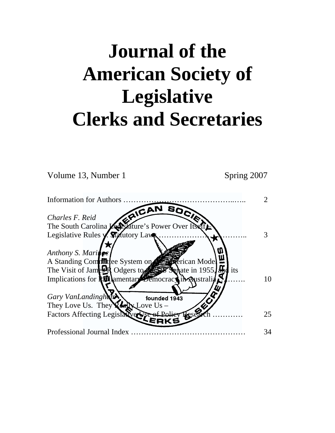# **Journal of the American Society of Legislative Clerks and Secretaries**

Volume 13, Number 1 Spring 2007

| <b>Information for Authors</b>                                               |    |
|------------------------------------------------------------------------------|----|
| Charles F. Reid<br>The South Carolina Leastature's Power Over Itself         |    |
|                                                                              |    |
| Legislative Rules y. Statutory Laws                                          |    |
| Anthony S. Maringe<br>A Standing Compile bystem on<br><b>Referican Model</b> |    |
| The Visit of James N Odgers to Senate in 1955.                               |    |
| Implications for <b>ASN</b> amentary Democracy in Australia                  | 10 |
|                                                                              |    |
| Gary VanLandingham<br>founded 1943                                           |    |
| They Love Us. They $\chi$ or $\chi$ Love Us –                                |    |
| Factors Affecting Legislative                                                | 25 |
| Professional Journal Index                                                   | 34 |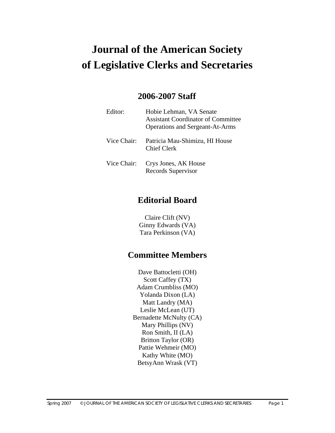# **Journal of the American Society of Legislative Clerks and Secretaries**

# **2006-2007 Staff**

| Editor:     | Hobie Lehman, VA Senate<br><b>Assistant Coordinator of Committee</b><br><b>Operations and Sergeant-At-Arms</b> |
|-------------|----------------------------------------------------------------------------------------------------------------|
| Vice Chair: | Patricia Mau-Shimizu, HI House<br><b>Chief Clerk</b>                                                           |
| Vice Chair: | Crys Jones, AK House<br>Records Supervisor                                                                     |

# **Editorial Board**

Claire Clift (NV) Ginny Edwards (VA) Tara Perkinson (VA)

# **Committee Members**

Dave Battocletti (OH) Scott Caffey (TX) Adam Crumbliss (MO) Yolanda Dixon (LA) Matt Landry (MA) Leslie McLean (UT) Bernadette McNulty (CA) Mary Phillips (NV) Ron Smith, II (LA) Britton Taylor (OR) Pattie Wehmeir (MO) Kathy White (MO) BetsyAnn Wrask (VT)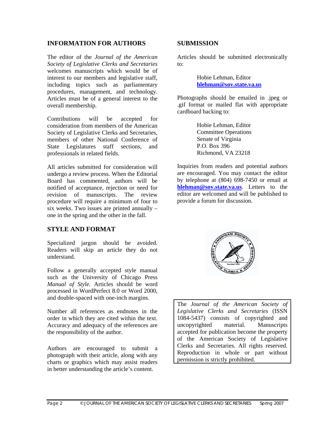#### **INFORMATION FOR AUTHORS**

The editor of the *Journal of the American Society of Legislative Clerks and Secretaries* welcomes manuscripts which would be of interest to our members and legislative staff, including topics such as parliamentary procedures, management, and technology. Articles must be of a general interest to the overall membership.

Contributions will be accepted for consideration from members of the American Society of Legislative Clerks and Secretaries, members of other National Conference of State Legislatures staff sections, and professionals in related fields.

All articles submitted for consideration will undergo a review process. When the Editorial Board has commented, authors will be notified of acceptance, rejection or need for revision of manuscripts. The review procedure will require a minimum of four to six weeks. Two issues are printed annually – one in the spring and the other in the fall.

#### **STYLE AND FORMAT**

Specialized jargon should be avoided. Readers will skip an article they do not understand.

Follow a generally accepted style manual such as the University of Chicago Press *Manual of Style*. Articles should be word processed in WordPerfect 8.0 or Word 2000, and double-spaced with one-inch margins.

Number all references as endnotes in the order in which they are cited within the text. Accuracy and adequacy of the references are the responsibility of the author.

Authors are encouraged to submit a photograph with their article, along with any charts or graphics which may assist readers in better understanding the article's content.

#### **SUBMISSION**

Articles should be submitted electronically to:

> Hobie Lehman, Editor **hlehman@sov.state.va.us**

Photographs should be emailed in .jpeg or .gif format or mailed flat with appropriate cardboard backing to:

> Hobie Lehman, Editor Committee Operations Senate of Virginia P.O. Box 396 Richmond, VA 23218

Inquiries from readers and potential authors are encouraged. You may contact the editor by telephone at (804) 698-7450 or email at **hlehman@sov.state.va.us**. Letters to the editor are welcomed and will be published to provide a forum for discussion.



The *Journal of the American Society of Legislative Clerks and Secretaries* (ISSN 1084-5437) consists of copyrighted and uncopyrighted material. Manuscripts accepted for publication become the property of the American Society of Legislative Clerks and Secretaries. All rights reserved. Reproduction in whole or part without permission is strictly prohibited.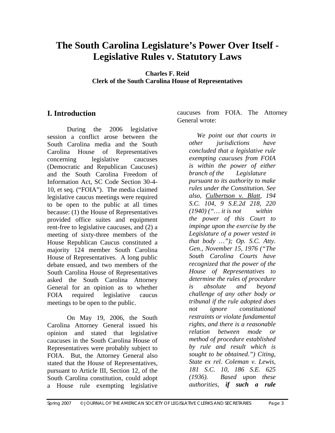# **The South Carolina Legislature's Power Over Itself - Legislative Rules v. Statutory Laws**

**Charles F. Reid Clerk of the South Carolina House of Representatives** 

# **I. Introduction**

 During the 2006 legislative session a conflict arose between the South Carolina media and the South Carolina House of Representatives concerning legislative caucuses (Democratic and Republican Caucuses) and the South Carolina Freedom of Information Act, SC Code Section 30-4- 10, et seq. ("FOIA"). The media claimed legislative caucus meetings were required to be open to the public at all times because: (1) the House of Representatives provided office suites and equipment rent-free to legislative caucuses, and (2) a meeting of sixty-three members of the House Republican Caucus constituted a majority 124 member South Carolina House of Representatives. A long public debate ensued, and two members of the South Carolina House of Representatives asked the South Carolina Attorney General for an opinion as to whether FOIA required legislative caucus meetings to be open to the public.

 On May 19, 2006, the South Carolina Attorney General issued his opinion and stated that legislative caucuses in the South Carolina House of Representatives were probably subject to FOIA. But, the Attorney General also stated that the House of Representatives, pursuant to Article III, Section 12, of the South Carolina constitution, could adopt a House rule exempting legislative

caucuses from FOIA. The Attorney General wrote:

*We point out that courts in other jurisdictions have concluded that a legislative rule exempting caucuses from FOIA is within the power of either branch of the Legislature pursuant to its authority to make rules under the Constitution. See also, Culbertson v. Blatt, 194 S.C. 104, 9 S.E.2d 218, 220 (1940) ("… it is not within the power of this Court to impinge upon the exercise by the Legislature of a power vested in that body …"); Op. S.C. Atty. Gen., November 15, 1976 ("The South Carolina Courts have recognized that the power of the House of Representatives to determine the rules of procedure is absolute and beyond challenge of any other body or tribunal if the rule adopted does not ignore constitutional restraints or violate fundamental rights, and there is a reasonable relation between mode or method of procedure established by rule and result which is sought to be obtained.") Citing, State ex rel. Coleman v. Lewis, 181 S.C. 10, 186 S.E. 625 (1936). Based upon these authorities, if such a rule*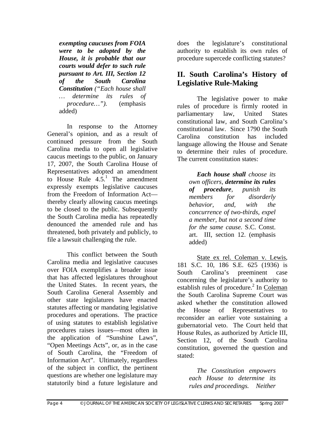*exempting caucuses from FOIA were to be adopted by the House, it is probable that our courts would defer to such rule pursuant to Art. III, Section 12 of the South Carolina Constitution ("Each house shall … determine its rules of procedure…").* (emphasis added)

 In response to the Attorney General's opinion, and as a result of continued pressure from the South Carolina media to open all legislative caucus meetings to the public, on January 17, 2007, the South Carolina House of Representatives adopted an amendment to House Rule  $4.5<sup>1</sup>$  The amendment expressly exempts legislative caucuses from the Freedom of Information Act thereby clearly allowing caucus meetings to be closed to the public. Subsequently the South Carolina media has repeatedly denounced the amended rule and has threatened, both privately and publicly, to file a lawsuit challenging the rule.

 This conflict between the South Carolina media and legislative caucuses over FOIA exemplifies a broader issue that has affected legislatures throughout the United States. In recent years, the South Carolina General Assembly and other state legislatures have enacted statutes affecting or mandating legislative procedures and operations. The practice of using statutes to establish legislative procedures raises issues—most often in the application of "Sunshine Laws", "Open Meetings Acts", or, as in the case of South Carolina, the "Freedom of Information Act". Ultimately, regardless of the subject in conflict, the pertinent questions are whether one legislature may statutorily bind a future legislature and

does the legislature's constitutional authority to establish its own rules of procedure supercede conflicting statutes?

# **II. South Carolina's History of Legislative Rule-Making**

 The legislative power to make rules of procedure is firmly rooted in parliamentary law, United States constitutional law, and South Carolina's constitutional law. Since 1790 the South Carolina constitution has included language allowing the House and Senate to determine their rules of procedure. The current constitution states:

*Each house shall choose its own officers, determine its rules of procedure, punish its members for disorderly behavior, and, with the concurrence of two-thirds, expel a member, but not a second time for the same cause.* S.C. Const. art. III, section 12. (emphasis added)

 State ex rel. Coleman v. Lewis, 181 S.C. 10, 186 S.E. 625 (1936) is South Carolina's preeminent case concerning the legislature's authority to establish rules of procedure.<sup>2</sup> In Coleman the South Carolina Supreme Court was asked whether the constitution allowed the House of Representatives to reconsider an earlier vote sustaining a gubernatorial veto. The Court held that House Rules, as authorized by Article III, Section 12, of the South Carolina constitution, governed the question and stated:

 *The Constitution empowers each House to determine its rules and proceedings. Neither*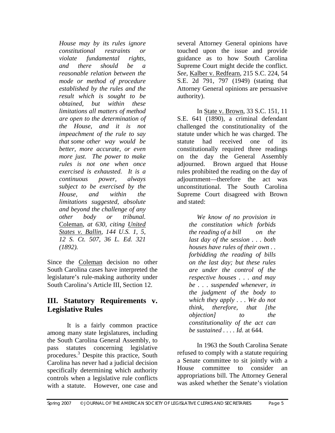*House may by its rules ignore constitutional restraints or violate fundamental rights, and there should be a reasonable relation between the mode or method of procedure established by the rules and the result which is sought to be obtained, but within these limitations all matters of method are open to the determination of the House, and it is not impeachment of the rule to say that some other way would be better, more accurate, or even more just. The power to make rules is not one when once exercised is exhausted. It is a continuous power, always subject to be exercised by the House, and within the limitations suggested, absolute and beyond the challenge of any other body or tribunal.*  Coleman, *at 630, citing United States v. Ballin, 144 U.S. 1, 5, 12 S. Ct. 507, 36 L. Ed. 321 (1892).* 

Since the Coleman decision no other South Carolina cases have interpreted the legislature's rule-making authority under South Carolina's Article III, Section 12.

# **III. Statutory Requirements v. Legislative Rules**

 It is a fairly common practice among many state legislatures, including the South Carolina General Assembly, to pass statutes concerning legislative procedures.<sup>3</sup> Despite this practice, South Carolina has never had a judicial decision specifically determining which authority controls when a legislative rule conflicts with a statute. However, one case and several Attorney General opinions have touched upon the issue and provide guidance as to how South Carolina Supreme Court might decide the conflict. *See*, Kalber v. Redfearn, 215 S.C. 224, 54 S.E. 2d 791, 797 (1949) (stating that Attorney General opinions are persuasive authority).

 In State v. Brown, 33 S.C. 151, 11 S.E. 641 (1890), a criminal defendant challenged the constitutionality of the statute under which he was charged. The statute had received one of its constitutionally required three readings on the day the General Assembly adjourned. Brown argued that House rules prohibited the reading on the day of adjournment—therefore the act was unconstitutional. The South Carolina Supreme Court disagreed with Brown and stated:

*We know of no provision in the constitution which forbids the reading of a bill on the last day of the session . . . both houses have rules of their own . . forbidding the reading of bills on the last day; but these rules are under the control of the respective houses . . . and may be . . . suspended whenever, in the judgment of the body to which they apply . . . We do not think, therefore, that [the objection] to the constitutionality of the act can be sustained . . . . Id.* at 644.

 In 1963 the South Carolina Senate refused to comply with a statute requiring a Senate committee to sit jointly with a House committee to consider an appropriations bill. The Attorney General was asked whether the Senate's violation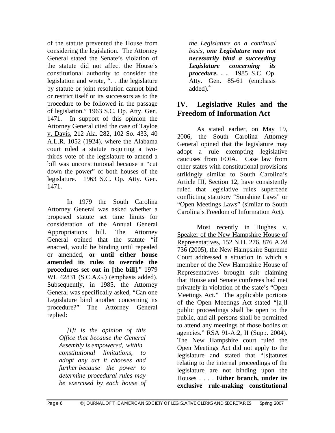of the statute prevented the House from considering the legislation. The Attorney General stated the Senate's violation of the statute did not affect the House's constitutional authority to consider the legislation and wrote, ". . .the legislature by statute or joint resolution cannot bind or restrict itself or its successors as to the procedure to be followed in the passage of legislation." 1963 S.C. Op. Atty. Gen. 1471. In support of this opinion the Attorney General cited the case of Tayloe v. Davis, 212 Ala. 282, 102 So. 433, 40 A.L.R. 1052 (1924), where the Alabama court ruled a statute requiring a twothirds vote of the legislature to amend a bill was unconstitutional because it "cut down the power" of both houses of the legislature. 1963 S.C. Op. Atty. Gen. 1471.

 In 1979 the South Carolina Attorney General was asked whether a proposed statute set time limits for consideration of the Annual General Appropriations bill. The Attorney General opined that the statute "if enacted, would be binding until repealed or amended, **or until either house amended its rules to override the procedures set out in [the bill]**." 1979 WL 42831 (S.C.A.G.) (emphasis added). Subsequently, in 1985, the Attorney General was specifically asked, "Can one Legislature bind another concerning its procedure?" The Attorney General replied:

 *[I]t is the opinion of this Office that because the General Assembly is empowered, within constitutional limitations, to adopt any act it chooses and further because the power to determine procedural rules may be exercised by each house of*  *the Legislature on a continual basis, one Legislature may not necessarily bind a succeeding Legislature concerning its procedure. . .* 1985 S.C. Op. Atty. Gen. 85-61 (emphasis added) $^4$ 

# **IV. Legislative Rules and the Freedom of Information Act**

 As stated earlier, on May 19, 2006, the South Carolina Attorney General opined that the legislature may adopt a rule exempting legislative caucuses from FOIA. Case law from other states with constitutional provisions strikingly similar to South Carolina's Article III, Section 12, have consistently ruled that legislative rules supercede conflicting statutory "Sunshine Laws" or "Open Meetings Laws" (similar to South Carolina's Freedom of Information Act).

 Most recently in Hughes v. Speaker of the New Hampshire House of Representatives, 152 N.H. 276, 876 A.2d 736 (2005), the New Hampshire Supreme Court addressed a situation in which a member of the New Hampshire House of Representatives brought suit claiming that House and Senate conferees had met privately in violation of the state's "Open Meetings Act." The applicable portions of the Open Meetings Act stated "[a]ll public proceedings shall be open to the public, and all persons shall be permitted to attend any meetings of those bodies or agencies." RSA 91-A:2, II (Supp. 2004). The New Hampshire court ruled the Open Meetings Act did not apply to the legislature and stated that "[s]tatutes relating to the internal proceedings of the legislature are not binding upon the Houses . . . . **Either branch, under its exclusive rule-making constitutional**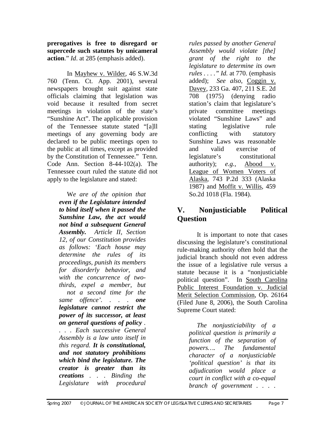**prerogatives is free to disregard or supercede such statutes by unicameral action**." *Id*. at 285 (emphasis added).

 In Mayhew v. Wilder, 46 S.W.3d 760 (Tenn. Ct. App. 2001), several newspapers brought suit against state officials claiming that legislation was void because it resulted from secret meetings in violation of the state's "Sunshine Act". The applicable provision of the Tennessee statute stated "[a]ll meetings of any governing body are declared to be public meetings open to the public at all times, except as provided by the Constitution of Tennessee." Tenn. Code Ann. Section 8-44-102(a). The Tennessee court ruled the statute did not apply to the legislature and stated:

 W*e are of the opinion that even if the Legislature intended to bind itself when it passed the Sunshine Law, the act would not bind a subsequent General Assembly. Article II, Section 12, of our Constitution provides as follows: 'Each house may determine the rules of its proceedings, punish its members for disorderly behavior, and with the concurrence of twothirds, expel a member, but not a second time for the same offence'. . . . one legislature cannot restrict the power of its successor, at least on general questions of policy . . . . Each successive General Assembly is a law unto itself in this regard. It is constitutional, and not statutory prohibitions which bind the legislature. The creator is greater than its creations . . . Binding the Legislature with procedural* 

*rules passed by another General Assembly would violate [the] grant of the right to the legislature to determine its own rules . . . ." Id.* at 770. (emphasis added); *See also*, Coggin v. Davey, 233 Ga. 407, 211 S.E. 2d 708 (1975) (denying radio station's claim that legislature's private committee meetings violated "Sunshine Laws" and stating legislative rule conflicting with statutory Sunshine Laws was reasonable and valid exercise of legislature's constitutional authority); *e.g.,* Abood v. League of Women Voters of Alaska, 743 P.2d 333 (Alaska 1987) and Moffit v. Willis, 459 So.2d 1018 (Fla. 1984).

# **V. Nonjusticiable Political Question**

 It is important to note that cases discussing the legislature's constitutional rule-making authority often hold that the judicial branch should not even address the issue of a legislative rule versus a statute because it is a "nonjusticiable political question". In South Carolina Public Interest Foundation v. Judicial Merit Selection Commission, Op. 26164 (Filed June 8, 2006), the South Carolina Supreme Court stated:

*The nonjusticiability of a political question is primarily a function of the separation of powers…. The fundamental character of a nonjusticiable 'political question' is that its adjudication would place a court in conflict with a co-equal branch of government . . . .*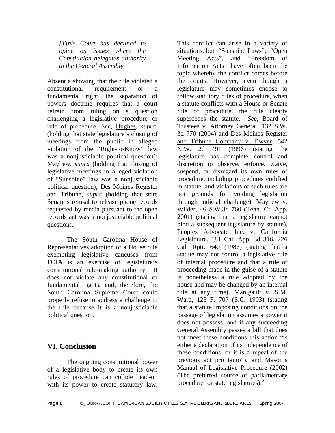*[T]his Court has declined to opine on issues where the Constitution delegates authority to the General Assembly.* 

Absent a showing that the rule violated a constitutional requirement or a fundamental right, the separation of powers doctrine requires that a court refrain from ruling on a question challenging a legislative procedure or rule of procedure. See, Hughes, *supra,*  (holding that state legislature's closing of meetings from the public in alleged violation of the "Right-to-Know" law was a nonjusticiable political question); Mayhew, *supra* (holding that closing of legislative meetings in alleged violation of "Sunshine" law was a nonjusticiable political question); Des Moines Register and Tribune, *supra* (holding that state Senate's refusal to release phone records requested by media pursuant to the open records act was a nonjusticiable political question).

 The South Carolina House of Representatives adoption of a House rule exempting legislative caucuses from FOIA is an exercise of legislature's constitutional rule-making authority. It does not violate any constitutional or fundamental rights, and, therefore, the South Carolina Supreme Court could properly refuse to address a challenge to the rule because it is a nonjusticiable political question.

# **VI. Conclusion**

The ongoing constitutional power of a legislative body to create its own rules of procedure can collide head-on with its power to create statutory law.

This conflict can arise in a variety of situations, but "Sunshine Laws", "Open Meeting Acts", and "Freedom of Information Acts" have often been the topic whereby the conflict comes before the courts. However, even though a legislature may sometimes choose to follow statutory rules of procedure, when a statute conflicts with a House or Senate rule of procedure, the rule clearly supercedes the statute. *See*, Board of Trustees v. Attorney General, 132 S.W. 3d 770 (2004) and Des Moines Register and Tribune Company v. Dwyer, 542 N.W. 2d 491 (1996) (stating the legislature has complete control and discretion to observe, enforce, waive, suspend, or disregard its own rules of procedure, including procedures codified in statute, and violations of such rules are not grounds for voiding legislation through judicial challenge), Mayhew v. Wilder, 46 S.W.3d 760 (Tenn. Ct. App. 2001) (stating that a legislature cannot bind a subsequent legislature by statute), Peoples Advocate Inc. v. California Legislature, 181 Cal. App. 3d 316, 226 Cal. Rptr. 640 (1986) (stating that a statute may not control a legislative rule of internal procedure and that a rule of proceeding made in the guise of a statute is nonetheless a rule adopted by the house and may be changed by an internal rule at any time), Manigault v. S.M. Ward, 123 F. 707 (S.C. 1903) (stating that a statute imposing conditions on the passage of legislation assumes a power it does not possess, and if any succeeding General Assembly passes a bill that does not meet these conditions this action "is either a declaration of its independence of these conditions, or it is a repeal of the previous act pro tanto"), and Mason's Manual of Legislative Procedure (2002) (The preferred source of parliamentary procedure for state legislatures).<sup>5</sup>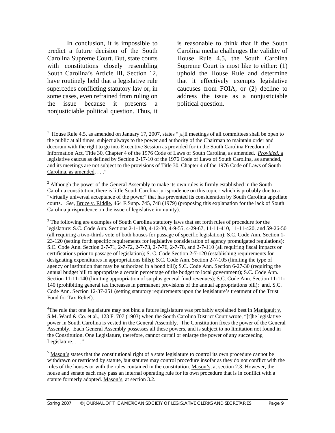In conclusion, it is impossible to predict a future decision of the South Carolina Supreme Court. But, state courts with constitutions closely resembling South Carolina's Article III, Section 12, have routinely held that a legislative rule supercedes conflicting statutory law or, in some cases, even refrained from ruling on the issue because it presents a nonjusticiable political question. Thus, it

is reasonable to think that if the South Carolina media challenges the validity of House Rule 4.5, the South Carolina Supreme Court is most like to either: (1) uphold the House Rule and determine that it effectively exempts legislative caucuses from FOIA, or (2) decline to address the issue as a nonjusticiable political question.

<sup>3</sup> The following are examples of South Carolina statutory laws that set forth rules of procedure for the legislature: S.C. Code Ann. Sections 2-1-180, 4-12-30, 4-9-55, 4-29-67, 11-11-410, 11-11-420, and 59-26-50 (all requiring a two-thirds vote of both houses for passage of specific legislation); S.C. Code Ann. Section 1- 23-120 (setting forth specific requirements for legislative consideration of agency promulgated regulations); S.C. Code Ann. Section 2-7-71, 2-7-72, 2-7-73, 2-7-76, 2-7-78, and 2-7-110 (all requiring fiscal impacts or certifications prior to passage of legislation); S. C. Code Section 2-7-120 (establishing requirements for designating expenditures in appropriations bills); S.C. Code Ann. Section 2-7-105 (limiting the type of agency or institution that may be authorized in a bond bill); S.C. Code Ann. Section 6-27-30 (requiring the annual budget bill to appropriate a certain percentage of the budget to local government); S.C. Code Ann. Section 11-11-140 (limiting appropriation of surplus general fund revenues); S.C. Code Ann. Section 11-11- 140 (prohibiting general tax increases in permanent provisions of the annual appropriations bill); and, S.C. Code Ann. Section 12-37-251 (setting statutory requirements upon the legislature's treatment of the Trust Fund for Tax Relief).

<sup>4</sup>The rule that one legislature may not bind a future legislature was probably explained best in Manigault v. S.M. Ward & Co. et al., 123 F. 707 (1903) when the South Carolina District Court wrote, "[t]he legislative power in South Carolina is vested in the General Assembly. The Constitution fixes the power of the General Assembly. Each General Assembly possesses all these powers, and is subject to no limitation not found in the Constitution. One Legislature, therefore, cannot curtail or enlarge the power of any succeeding Legislature...."

 $<sup>5</sup>$  Mason's states that the constitutional right of a state legislature to control its own procedure cannot be</sup> withdrawn or restricted by statute, but statutes may control procedure insofar as they do not conflict with the rules of the houses or with the rules contained in the constitution. Mason's, at section 2.3. However, the house and senate each may pass an internal operating rule for its own procedure that is in conflict with a statute formerly adopted. Mason's, at section 3.2.

<sup>&</sup>lt;sup>1</sup> House Rule 4.5, as amended on January 17, 2007, states "[a]ll meetings of all committees shall be open to the public at all times, subject always to the power and authority of the Chairman to maintain order and decorum with the right to go into Executive Session as provided for in the South Carolina Freedom of Information Act, Title 30, Chapter 4 of the 1976 Code of Laws of South Carolina, as amended. *Provided*, a legislative caucus as defined by Section 2-17-10 of the 1976 Code of Laws of South Carolina, as amended, and its meetings are not subject to the provisions of Title 30, Chapter 4 of the 1976 Code of Laws of South Carolina, as amended. . . ."

 $2$  Although the power of the General Assembly to make its own rules is firmly established in the South Carolina constitution, there is little South Carolina jurisprudence on this topic - which is probably due to a "virtually universal acceptance of the power" that has prevented its consideration by South Carolina appellate courts. *See*, Bruce v. Riddle, 464 F.Supp. 745, 748 (1979) (proposing this explanation for the lack of South Carolina jurisprudence on the issue of legislative immunity).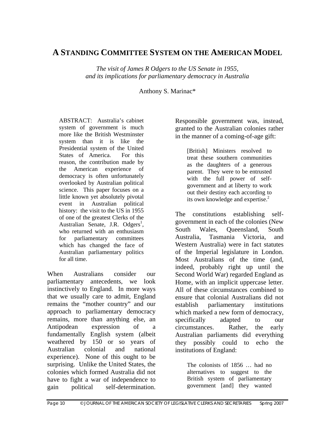# **A STANDING COMMITTEE SYSTEM ON THE AMERICAN MODEL**

*The visit of James R Odgers to the US Senate in 1955, and its implications for parliamentary democracy in Australia* 

Anthony S. Marinac\*

ABSTRACT: Australia's cabinet system of government is much more like the British Westminster system than it is like the Presidential system of the United States of America. For this reason, the contribution made by the American experience of democracy is often unfortunately overlooked by Australian political science. This paper focuses on a little known yet absolutely pivotal event in Australian political history: the visit to the US in 1955 of one of the greatest Clerks of the Australian Senate, J.R. Odgers<sup>1</sup>, who returned with an enthusiasm for parliamentary committees which has changed the face of Australian parliamentary politics for all time.

When Australians consider our parliamentary antecedents, we look instinctively to England. In more ways that we usually care to admit, England remains the "mother country" and our approach to parliamentary democracy remains, more than anything else, an Antipodean expression of a fundamentally English system (albeit weathered by 150 or so years of Australian colonial and national experience). None of this ought to be surprising. Unlike the United States, the colonies which formed Australia did not have to fight a war of independence to gain political self-determination.

Responsible government was, instead, granted to the Australian colonies rather in the manner of a coming-of-age gift:

> [British] Ministers resolved to treat these southern communities as the daughters of a generous parent. They were to be entrusted with the full power of selfgovernment and at liberty to work out their destiny each according to its own knowledge and expertise.<sup>2</sup>

The constitutions establishing selfgovernment in each of the colonies (New South Wales, Queensland, South Australia, Tasmania Victoria, and Western Australia) were in fact statutes of the Imperial legislature in London. Most Australians of the time (and, indeed, probably right up until the Second World War) regarded England as Home, with an implicit uppercase letter. All of these circumstances combined to ensure that colonial Australians did not establish parliamentary institutions which marked a new form of democracy, specifically adapted to our circumstances. Rather, the early Australian parliaments did everything they possibly could to echo the institutions of England:

The colonists of 1856 … had no alternatives to suggest to the British system of parliamentary government [and] they wanted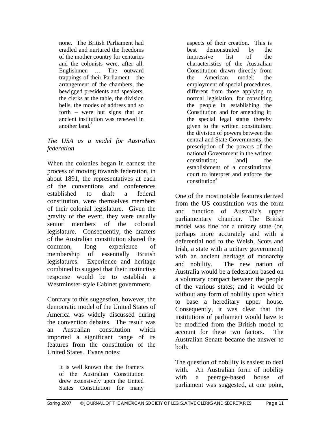none. The British Parliament had cradled and nurtured the freedoms of the mother country for centuries and the colonists were, after all, Englishmen … The outward trappings of their Parliament – the arrangement of the chambers, the bewigged presidents and speakers, the clerks at the table, the division bells, the modes of address and so forth – were but signs that an ancient institution was renewed in another land.<sup>3</sup>

#### *The USA as a model for Australian federation*

When the colonies began in earnest the process of moving towards federation, in about 1891, the representatives at each of the conventions and conferences established to draft a federal constitution, were themselves members of their colonial legislature. Given the gravity of the event, they were usually senior members of the colonial legislature. Consequently, the drafters of the Australian constitution shared the common, long experience of membership of essentially British legislatures. Experience and heritage combined to suggest that their instinctive response would be to establish a Westminster-style Cabinet government.

Contrary to this suggestion, however, the democratic model of the United States of America was widely discussed during the convention debates. The result was an Australian constitution which imported a significant range of its features from the constitution of the United States. Evans notes:

> It is well known that the framers of the Australian Constitution drew extensively upon the United States Constitution for many

aspects of their creation. This is best demonstrated by the impressive list of the characteristics of the Australian Constitution drawn directly from the American model: the employment of special procedures, different from those applying to normal legislation, for consulting the people in establishing the Constitution and for amending it; the special legal status thereby given to the written constitution; the division of powers between the central and State Governments; the prescription of the powers of the national Government in the written constitution: [and] the establishment of a constitutional court to interpret and enforce the  $constantution<sup>4</sup>$ 

One of the most notable features derived from the US constitution was the form and function of Australia's upper parliamentary chamber. The British model was fine for a unitary state (or, perhaps more accurately and with a deferential nod to the Welsh, Scots and Irish, a state with a unitary government) with an ancient heritage of monarchy and nobility. The new nation of Australia would be a federation based on a voluntary compact between the people of the various states; and it would be without any form of nobility upon which to base a hereditary upper house. Consequently, it was clear that the institutions of parliament would have to be modified from the British model to account for these two factors. The Australian Senate became the answer to both.

The question of nobility is easiest to deal with. An Australian form of nobility with a peerage-based house of parliament was suggested, at one point,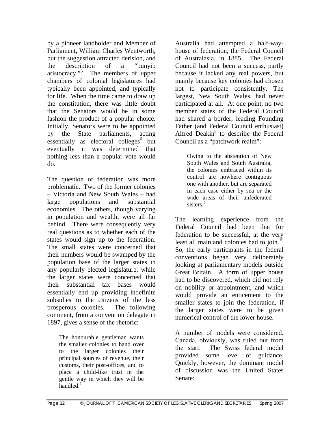by a pioneer landholder and Member of Parliament, William Charles Wentworth, but the suggestion attracted derision, and the description of a "bunyip aristocracy."<sup>5</sup> The members of upper chambers of colonial legislatures had typically been appointed, and typically for life. When the time came to draw up the constitution, there was little doubt that the Senators would be in some fashion the product of a popular choice. Initially, Senators were to be appointed by the State parliaments, acting  $\text{essentially}$  as electoral colleges<sup>6</sup> but eventually it was determined that nothing less than a popular vote would do.

The question of federation was more problematic. Two of the former colonies – Victoria and New South Wales – had large populations and substantial economies. The others, though varying in population and wealth, were all far behind. There were consequently very real questions as to whether each of the states would sign up to the federation. The small states were concerned that their numbers would be swamped by the population base of the larger states in any popularly elected legislature; while the larger states were concerned that their substantial tax bases would essentially end up providing indefinite subsidies to the citizens of the less prosperous colonies. The following comment, from a convention delegate in 1897, gives a sense of the rhetoric:

> The honourable gentleman wants the smaller colonies to hand over to the larger colonies their principal sources of revenue, their customs, their post-offices, and to place a child-like trust in the gentle way in which they will be handled.<sup>7</sup>

Australia had attempted a half-wayhouse of federation, the Federal Council of Australasia, in 1885. The Federal Council had not been a success, partly because it lacked any real powers, but mainly because key colonies had chosen not to participate consistently. The largest, New South Wales, had never participated at all. At one point, no two member states of the Federal Council had shared a border, leading Founding Father (and Federal Council enthusiast) Alfred Deakin<sup>8</sup> to describe the Federal Council as a "patchwork realm":

> Owing to the abstention of New South Wales and South Australia, the colonies embraced within its control are nowhere contiguous one with another, but are separated in each case either by sea or the wide areas of their unfederated sisters.<sup>9</sup>

The learning experience from the Federal Council had been that for federation to be successful, at the very least all mainland colonies had to join.<sup>10</sup> So, the early participants in the federal conventions began very deliberately looking at parliamentary models outside Great Britain. A form of upper house had to be discovered, which did not rely on nobility or appointment, and which would provide an enticement to the smaller states to join the federation, if the larger states were to be given numerical control of the lower house.

A number of models were considered. Canada, obviously, was ruled out from the start. The Swiss federal model provided some level of guidance. Quickly, however, the dominant model of discussion was the United States Senate: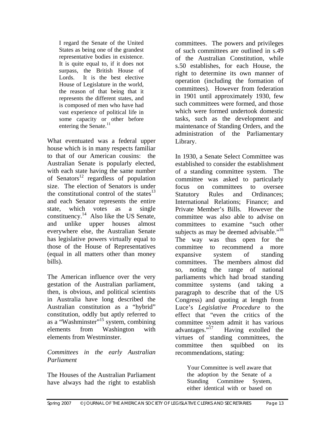I regard the Senate of the United States as being one of the grandest representative bodies in existence. It is quite equal to, if it does not surpass, the British House of Lords. It is the best elective House of Legislature in the world, the reason of that being that it represents the different states, and is composed of men who have had vast experience of political life in some capacity or other before entering the Senate.<sup>11</sup>

What eventuated was a federal upper house which is in many respects familiar to that of our American cousins: the Australian Senate is popularly elected, with each state having the same number of Senators<sup>12</sup> regardless of population size. The election of Senators is under the constitutional control of the states $^{13}$ and each Senator represents the entire state, which votes as a single constituency.14 Also like the US Senate, and unlike upper houses almost everywhere else, the Australian Senate has legislative powers virtually equal to those of the House of Representatives (equal in all matters other than money bills).

The American influence over the very gestation of the Australian parliament, then, is obvious, and political scientists in Australia have long described the Australian constitution as a "hybrid" constitution, oddly but aptly referred to as a "Washminster"15 system, combining elements from Washington with elements from Westminster.

## *Committees in the early Australian Parliament*

The Houses of the Australian Parliament have always had the right to establish

committees. The powers and privileges of such committees are outlined in s.49 of the Australian Constitution, while s.50 establishes, for each House, the right to determine its own manner of operation (including the formation of committees). However from federation in 1901 until approximately 1930, few such committees were formed, and those which were formed undertook domestic tasks, such as the development and maintenance of Standing Orders, and the administration of the Parliamentary Library.

In 1930, a Senate Select Committee was established to consider the establishment of a standing committee system. The committee was asked to particularly focus on committees to oversee Statutory Rules and Ordinances; International Relations; Finance; and Private Member's Bills. However the committee was also able to advise on committees to examine "such other subjects as may be deemed advisable."<sup>16</sup> The way was thus open for the committee to recommend a more expansive system of standing committees. The members almost did so, noting the range of national parliaments which had broad standing committee systems (and taking a paragraph to describe that of the US Congress) and quoting at length from Luce's *Legislative Procedure* to the effect that "even the critics of the committee system admit it has various<br>advantages."<sup>17</sup> Having extolled the Having extolled the virtues of standing committees, the committee then squibbed on its recommendations, stating:

> Your Committee is well aware that the adoption by the Senate of a Standing Committee System, either identical with or based on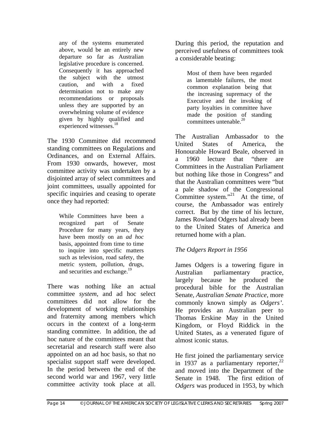any of the systems enumerated above, would be an entirely new departure so far as Australian legislative procedure is concerned. Consequently it has approached the subject with the utmost caution, and with a fixed determination not to make any recommendations or proposals unless they are supported by an overwhelming volume of evidence given by highly qualified and experienced witnesses.<sup>18</sup>

The 1930 Committee did recommend standing committees on Regulations and Ordinances, and on External Affairs. From 1930 onwards, however, most committee activity was undertaken by a disjointed array of select committees and joint committees, usually appointed for specific inquiries and ceasing to operate once they had reported:

> While Committees have been a recognized part of Senate Procedure for many years, they have been mostly on an *ad hoc* basis, appointed from time to time to inquire into specific matters such as television, road safety, the metric system, pollution, drugs, and securities and exchange.<sup>19</sup>

There was nothing like an actual committee *system*, and ad hoc select committees did not allow for the development of working relationships and fraternity among members which occurs in the context of a long-term standing committee. In addition, the ad hoc nature of the committees meant that secretarial and research staff were also appointed on an ad hoc basis, so that no specialist support staff were developed. In the period between the end of the second world war and 1967, very little committee activity took place at all.

During this period, the reputation and perceived usefulness of committees took a considerable beating:

> Most of them have been regarded as lamentable failures, the most common explanation being that the increasing supremacy of the Executive and the invoking of party loyalties in committee have made the position of standing committees untenable.<sup>20</sup>

The Australian Ambassador to the United States of America, the Honourable Howard Beale, observed in a 1960 lecture that "there are Committees in the Australian Parliament but nothing like those in Congress" and that the Australian committees were "but a pale shadow of the Congressional Committee system."<sup>21</sup> At the time, of course, the Ambassador was entirely correct. But by the time of his lecture, James Rowland Odgers had already been to the United States of America and returned home with a plan.

# *The Odgers Report in 1956*

James Odgers is a towering figure in Australian parliamentary practice, largely because he produced the procedural bible for the Australian Senate, *Australian Senate Practice*, more commonly known simply as *Odgers'*. He provides an Australian peer to Thomas Erskine May in the United Kingdom, or Floyd Riddick in the United States, as a venerated figure of almost iconic status.

He first joined the parliamentary service in 1937 as a parliamentary reporter,  $2^2$ and moved into the Department of the Senate in 1948. The first edition of *Odgers* was produced in 1953, by which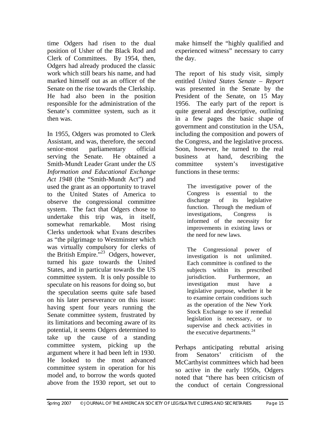time Odgers had risen to the dual position of Usher of the Black Rod and Clerk of Committees. By 1954, then, Odgers had already produced the classic work which still bears his name, and had marked himself out as an officer of the Senate on the rise towards the Clerkship. He had also been in the position responsible for the administration of the Senate's committee system, such as it then was.

In 1955, Odgers was promoted to Clerk Assistant, and was, therefore, the second senior-most parliamentary official serving the Senate. He obtained a Smith-Mundt Leader Grant under the *US Information and Educational Exchange Act 1948* (the "Smith-Mundt Act") and used the grant as an opportunity to travel to the United States of America to observe the congressional committee system. The fact that Odgers chose to undertake this trip was, in itself, somewhat remarkable. Most rising Clerks undertook what Evans describes as "the pilgrimage to Westminster which was virtually compulsory for clerks of the British Empire.<sup>"23</sup> Odgers, however, turned his gaze towards the United States, and in particular towards the US committee system. It is only possible to speculate on his reasons for doing so, but the speculation seems quite safe based on his later perseverance on this issue: having spent four years running the Senate committee system, frustrated by its limitations and becoming aware of its potential, it seems Odgers determined to take up the cause of a standing committee system, picking up the argument where it had been left in 1930. He looked to the most advanced committee system in operation for his model and, to borrow the words quoted above from the 1930 report, set out to make himself the "highly qualified and experienced witness" necessary to carry the day.

The report of his study visit, simply entitled *United States Senate – Report* was presented in the Senate by the President of the Senate, on 15 May 1956. The early part of the report is quite general and descriptive, outlining in a few pages the basic shape of government and constitution in the USA, including the composition and powers of the Congress, and the legislative process. Soon, however, he turned to the real business at hand, describing the committee system's investigative functions in these terms:

> The investigative power of the Congress is essential to the discharge of its legislative function. Through the medium of investigations, Congress is informed of the necessity for improvements in existing laws or the need for new laws.

> The Congressional power of investigation is not unlimited. Each committee is confined to the subjects within its prescribed jurisdiction. Furthermore, an investigation must have a legislative purpose, whether it be to examine certain conditions such as the operation of the New York Stock Exchange to see if remedial legislation is necessary, or to supervise and check activities in the executive departments.<sup>24</sup>

Perhaps anticipating rebuttal arising from Senators' criticism of the McCarthyist committees which had been so active in the early 1950s, Odgers noted that "there has been criticism of the conduct of certain Congressional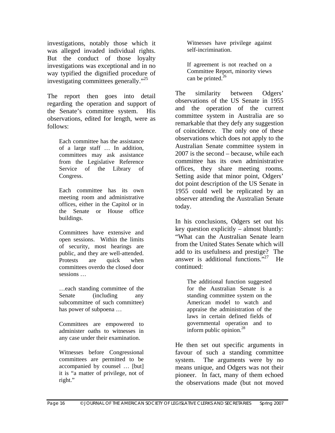investigations, notably those which it was alleged invaded individual rights. But the conduct of those loyalty investigations was exceptional and in no way typified the dignified procedure of investigating committees generally."<sup>25</sup>

The report then goes into detail regarding the operation and support of the Senate's committee system. His observations, edited for length, were as follows:

> Each committee has the assistance of a large staff … In addition, committees may ask assistance from the Legislative Reference Service of the Library of Congress.

> Each committee has its own meeting room and administrative offices, either in the Capitol or in the Senate or House office buildings.

> Committees have extensive and open sessions. Within the limits of security, most hearings are public, and they are well-attended. Protests are quick when committees overdo the closed door sessions …

> …each standing committee of the Senate (including any subcommittee of such committee) has power of subpoena …

> Committees are empowered to administer oaths to witnesses in any case under their examination.

> Witnesses before Congressional committees are permitted to be accompanied by counsel … [but] it is "a matter of privilege, not of right."

Witnesses have privilege against self-incrimination.

If agreement is not reached on a Committee Report, minority views can be printed. $26$ 

The similarity between Odgers' observations of the US Senate in 1955 and the operation of the current committee system in Australia are so remarkable that they defy any suggestion of coincidence. The only one of these observations which does not apply to the Australian Senate committee system in 2007 is the second – because, while each committee has its own administrative offices, they share meeting rooms. Setting aside that minor point, Odgers' dot point description of the US Senate in 1955 could well be replicated by an observer attending the Australian Senate today.

In his conclusions, Odgers set out his key question explicitly – almost bluntly: "What can the Australian Senate learn from the United States Senate which will add to its usefulness and prestige? The answer is additional functions."<sup>27</sup> He continued:

> The additional function suggested for the Australian Senate is a standing committee system on the American model to watch and appraise the administration of the laws in certain defined fields of governmental operation and to inform public opinion. $^{28}$

He then set out specific arguments in favour of such a standing committee system. The arguments were by no means unique, and Odgers was not their pioneer. In fact, many of them echoed the observations made (but not moved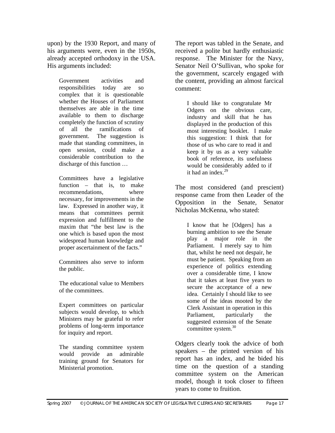upon) by the 1930 Report, and many of his arguments were, even in the 1950s, already accepted orthodoxy in the USA. His arguments included:

> Government activities and responsibilities today are so complex that it is questionable whether the Houses of Parliament themselves are able in the time available to them to discharge completely the function of scrutiny of all the ramifications of government. The suggestion is made that standing committees, in open session, could make a considerable contribution to the discharge of this function …

> Committees have a legislative function – that is, to make recommendations, where necessary, for improvements in the law. Expressed in another way, it means that committees permit expression and fulfillment to the maxim that "the best law is the one which is based upon the most widespread human knowledge and proper ascertainment of the facts."

Committees also serve to inform the public.

The educational value to Members of the committees.

Expert committees on particular subjects would develop, to which Ministers may be grateful to refer problems of long-term importance for inquiry and report.

The standing committee system would provide an admirable training ground for Senators for Ministerial promotion.

The report was tabled in the Senate, and received a polite but hardly enthusiastic response. The Minister for the Navy, Senator Neil O'Sullivan, who spoke for the government, scarcely engaged with the content, providing an almost farcical comment:

> I should like to congratulate Mr Odgers on the obvious care, industry and skill that he has displayed in the production of this most interesting booklet. I make this suggestion: I think that for those of us who care to read it and keep it by us as a very valuable book of reference, its usefulness would be considerably added to if it had an index. $29$

The most considered (and prescient) response came from then Leader of the Opposition in the Senate, Senator Nicholas McKenna, who stated:

> I know that he [Odgers] has a burning ambition to see the Senate play a major role in the Parliament. I merely say to him that, whilst he need not despair, he must be patient. Speaking from an experience of politics extending over a considerable time, I know that it takes at least five years to secure the acceptance of a new idea. Certainly I should like to see some of the ideas mooted by the Clerk Assistant in operation in this Parliament, particularly the suggested extension of the Senate committee system.<sup>30</sup>

Odgers clearly took the advice of both speakers – the printed version of his report has an index, and he bided his time on the question of a standing committee system on the American model, though it took closer to fifteen years to come to fruition.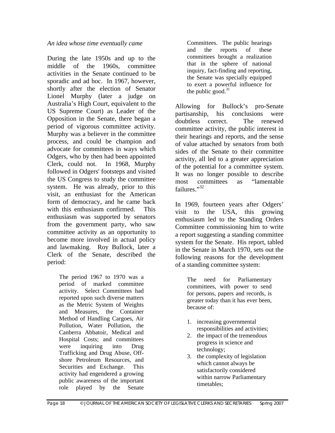*An idea whose time eventually came*

During the late 1950s and up to the middle of the 1960s, committee activities in the Senate continued to be sporadic and ad hoc. In 1967, however, shortly after the election of Senator Lionel Murphy (later a judge on Australia's High Court, equivalent to the US Supreme Court) as Leader of the Opposition in the Senate, there began a period of vigorous committee activity. Murphy was a believer in the committee process, and could be champion and advocate for committees in ways which Odgers, who by then had been appointed Clerk, could not. In 1968, Murphy followed in Odgers' footsteps and visited the US Congress to study the committee system. He was already, prior to this visit, an enthusiast for the American form of democracy, and he came back with this enthusiasm confirmed. This enthusiasm was supported by senators from the government party, who saw committee activity as an opportunity to become more involved in actual policy and lawmaking. Roy Bullock, later a Clerk of the Senate, described the period:

> The period 1967 to 1970 was a period of marked committee activity. Select Committees had reported upon such diverse matters as the Metric System of Weights and Measures, the Container Method of Handling Cargoes, Air Pollution, Water Pollution, the Canberra Abbatoir, Medical and Hospital Costs; and committees were inquiring into Drug Trafficking and Drug Abuse, Offshore Petroleum Resources, and Securities and Exchange. This activity had engendered a growing public awareness of the important role played by the Senate

Committees. The public hearings and the reports of these committees brought a realization that in the sphere of national inquiry, fact-finding and reporting, the Senate was specially equipped to exert a powerful influence for the public good. $31$ 

Allowing for Bullock's pro-Senate partisanship, his conclusions were doubtless correct. The renewed committee activity, the public interest in their hearings and reports, and the sense of value attached by senators from both sides of the Senate to their committee activity, all led to a greater appreciation of the potential for a committee system. It was no longer possible to describe most committees as "lamentable failures."<sup>32</sup>

In 1969, fourteen years after Odgers' visit to the USA, this growing enthusiasm led to the Standing Orders Committee commissioning him to write a report suggesting a standing committee system for the Senate. His report, tabled in the Senate in March 1970, sets out the following reasons for the development of a standing committee system:

> The need for Parliamentary committees, with power to send for persons, papers and records, is greater today than it has ever been, because of:

- 1. increasing governmental responsibilities and activities;
- 2. the impact of the tremendous progress in science and technology;
- 3. the complexity of legislation which cannot always be satisfactorily considered within narrow Parliamentary timetables;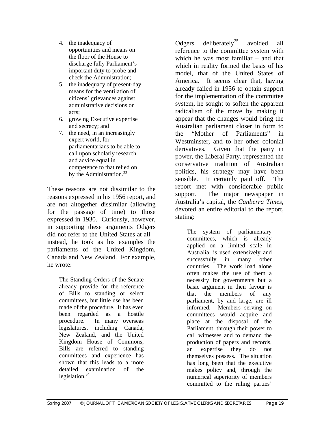- 4. the inadequacy of opportunities and means on the floor of the House to discharge fully Parliament's important duty to probe and check the Administration;
- 5. the inadequacy of present-day means for the ventilation of citizens' grievances against administrative decisions or acts;
- 6. growing Executive expertise and secrecy; and
- 7. the need, in an increasingly expert world, for parliamentarians to be able to call upon scholarly research and advice equal in competence to that relied on by the Administration.<sup>33</sup>

These reasons are not dissimilar to the reasons expressed in his 1956 report, and are not altogether dissimilar (allowing for the passage of time) to those expressed in 1930. Curiously, however, in supporting these arguments Odgers did not refer to the United States at all – instead, he took as his examples the parliaments of the United Kingdom, Canada and New Zealand. For example, he wrote:

> The Standing Orders of the Senate already provide for the reference of Bills to standing or select committees, but little use has been made of the procedure. It has even been regarded as a hostile procedure. In many overseas legislatures, including Canada, New Zealand, and the United Kingdom House of Commons, Bills are referred to standing committees and experience has shown that this leads to a more detailed examination of the legislation. $34$

Odgers deliberately<sup>35</sup> avoided all reference to the committee system with which he was most familiar – and that which in reality formed the basis of his model, that of the United States of America. It seems clear that, having already failed in 1956 to obtain support for the implementation of the committee system, he sought to soften the apparent radicalism of the move by making it appear that the changes would bring the Australian parliament closer in form to the "Mother of Parliaments" in Westminster, and to her other colonial derivatives. Given that the party in power, the Liberal Party, represented the conservative tradition of Australian politics, his strategy may have been sensible. It certainly paid off. The report met with considerable public support. The major newspaper in Australia's capital, the *Canberra Times*, devoted an entire editorial to the report, stating:

The system of parliamentary committees, which is already applied on a limited scale in Australia, is used extensively and successfully in many other countries. The work load alone often makes the use of them a necessity for governments but a basic argument in their favour is that the members of any parliament, by and large, are ill informed. Members serving on committees would acquire and place at the disposal of the Parliament, through their power to call witnesses and to demand the production of papers and records, an expertise they do not themselves possess. The situation has long been that the executive makes policy and, through the numerical superiority of members committed to the ruling parties'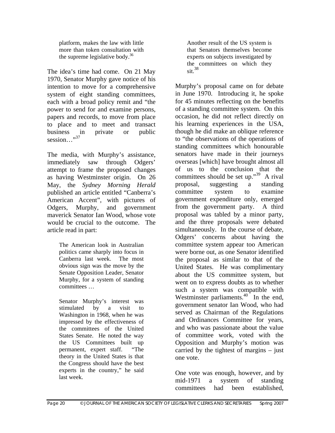platform, makes the law with little more than token consultation with the supreme legislative body. $36$ 

The idea's time had come. On 21 May 1970, Senator Murphy gave notice of his intention to move for a comprehensive system of eight standing committees, each with a broad policy remit and "the power to send for and examine persons, papers and records, to move from place to place and to meet and transact business in private or public session..."<sup>37</sup>

The media, with Murphy's assistance, immediately saw through Odgers' attempt to frame the proposed changes as having Westminster origin. On 26 May, the *Sydney Morning Herald* published an article entitled "Canberra's American Accent", with pictures of Odgers, Murphy, and government maverick Senator Ian Wood, whose vote would be crucial to the outcome. The article read in part:

> The American look in Australian politics came sharply into focus in Canberra last week. The most obvious sign was the move by the Senate Opposition Leader, Senator Murphy, for a system of standing committees …

> Senator Murphy's interest was stimulated by a visit to Washington in 1968, when he was impressed by the effectiveness of the committees of the United States Senate. He noted the way the US Committees built up permanent, expert staff. "The theory in the United States is that the Congress should have the best experts in the country," he said last week.

Another result of the US system is that Senators themselves become experts on subjects investigated by the committees on which they  $\sin^{38}$ 

Murphy's proposal came on for debate in June 1970. Introducing it, he spoke for 45 minutes reflecting on the benefits of a standing committee system. On this occasion, he did not reflect directly on his learning experiences in the USA, though he did make an oblique reference to "the observations of the operations of standing committees which honourable senators have made in their journeys overseas [which] have brought almost all of us to the conclusion that the committees should be set up."<sup>39</sup> A rival proposal, suggesting a standing committee system to examine government expenditure only, emerged from the government party. A third proposal was tabled by a minor party, and the three proposals were debated simultaneously. In the course of debate, Odgers' concerns about having the committee system appear too American were borne out, as one Senator identified the proposal as similar to that of the United States. He was complimentary about the US committee system, but went on to express doubts as to whether such a system was compatible with Westminster parliaments. $40$  In the end, government senator Ian Wood, who had served as Chairman of the Regulations and Ordinances Committee for years, and who was passionate about the value of committee work, voted with the Opposition and Murphy's motion was carried by the tightest of margins – just one vote.

One vote was enough, however, and by mid-1971 a system of standing committees had been established,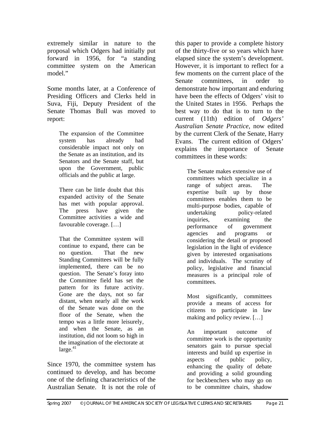extremely similar in nature to the proposal which Odgers had initially put forward in 1956, for "a standing committee system on the American model."

Some months later, at a Conference of Presiding Officers and Clerks held in Suva, Fiji, Deputy President of the Senate Thomas Bull was moved to report:

> The expansion of the Committee system has already had considerable impact not only on the Senate as an institution, and its Senators and the Senate staff, but upon the Government, public officials and the public at large.

> There can be little doubt that this expanded activity of the Senate has met with popular approval. The press have given the Committee activities a wide and favourable coverage. […]

> That the Committee system will continue to expand, there can be no question. That the new Standing Committees will be fully implemented, there can be no question. The Senate's foray into the Committee field has set the pattern for its future activity. Gone are the days, not so far distant, when nearly all the work of the Senate was done on the floor of the Senate, when the tempo was a little more leisurely, and when the Senate, as an institution, did not loom so high in the imagination of the electorate at  $\text{large.}^{41}$

Since 1970, the committee system has continued to develop, and has become one of the defining characteristics of the Australian Senate. It is not the role of

this paper to provide a complete history of the thirty-five or so years which have elapsed since the system's development. However, it is important to reflect for a few moments on the current place of the Senate committees, in order to demonstrate how important and enduring have been the effects of Odgers' visit to the United States in 1956. Perhaps the best way to do that is to turn to the current (11th) edition of *Odgers' Australian Senate Practice*, now edited by the current Clerk of the Senate, Harry Evans. The current edition of Odgers' explains the importance of Senate committees in these words:

> The Senate makes extensive use of committees which specialize in a range of subject areas. The expertise built up by those committees enables them to be multi-purpose bodies, capable of undertaking policy-related inquiries, examining the performance of government agencies and programs or considering the detail or proposed legislation in the light of evidence given by interested organisations and individuals. The scrutiny of policy, legislative and financial measures is a principal role of committees.

Most significantly, committees provide a means of access for citizens to participate in law making and policy review. […]

An important outcome of committee work is the opportunity senators gain to pursue special interests and build up expertise in aspects of public policy, enhancing the quality of debate and providing a solid grounding for beckbenchers who may go on to be committee chairs, shadow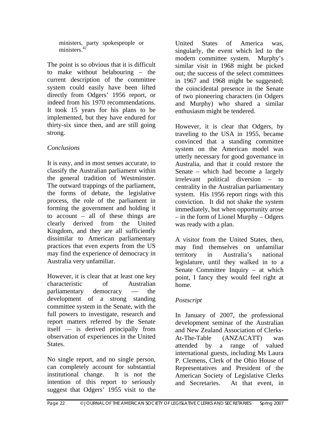ministers, party spokespeople or ministers.<sup>42</sup>

The point is so obvious that it is difficult to make without belabouring – the current description of the committee system could easily have been lifted directly from Odgers' 1956 report, or indeed from his 1970 recommendations. It took 15 years for his plans to be implemented, but they have endured for thirty-six since then, and are still going strong.

## *Conclusions*

It is easy, and in most senses accurate, to classify the Australian parliament within the general tradition of Westminster. The outward trappings of the parliament, the forms of debate, the legislative process, the role of the parliament in forming the government and holding it to account – all of these things are clearly derived from the United Kingdom, and they are all sufficiently dissimilar to American parliamentary practices that even experts from the US may find the experience of democracy in Australia very unfamiliar.

However, it is clear that at least one key characteristic of Australian parliamentary democracy — the development of a strong standing committee system in the Senate, with the full powers to investigate, research and report matters referred by the Senate itself — is derived principally from observation of experiences in the United States.

No single report, and no single person, can completely account for substantial institutional change. It is not the intention of this report to seriously suggest that Odgers' 1955 visit to the United States of America was, singularly, the event which led to the modern committee system. Murphy's similar visit in 1968 might be picked out; the success of the select committees in 1967 and 1968 might be suggested; the coincidental presence in the Senate of two pioneering characters (in Odgers and Murphy) who shared a similar enthusiasm might be tendered.

However, it is clear that Odgers, by traveling to the USA in 1955, became convinced that a standing committee system on the American model was utterly necessary for good governance in Australia, and that it could restore the Senate – which had become a largely irrelevant political diversion – to centrality in the Australian parliamentary system. His 1956 report rings with this conviction. It did not shake the system immediately, but when opportunity arose – in the form of Lionel Murphy – Odgers was ready with a plan.

A visitor from the United States, then, may find themselves on unfamiliar territory in Australia's national legislature, until they walked in to a Senate Committee Inquiry – at which point, I fancy they would feel right at home.

# *Postscript*

In January of 2007, the professional development seminar of the Australian and New Zealand Association of Clerks-At-The-Table (ANZACATT) was attended by a range of valued international guests, including Ms Laura P. Clemens, Clerk of the Ohio House of Representatives and President of the American Society of Legislative Clerks and Secretaries. At that event, in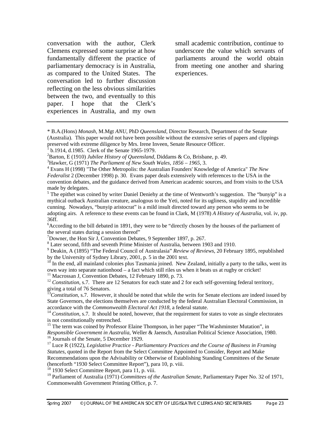conversation with the author, Clerk Clemens expressed some surprise at how fundamentally different the practice of parliamentary democracy is in Australia, as compared to the United States. The conversation led to further discussion reflecting on the less obvious similarities between the two, and eventually to this paper. I hope that the Clerk's experiences in Australia, and my own small academic contribution, continue to underscore the value which servants of parliaments around the world obtain from meeting one another and sharing experiences.

\* B.A.(Hons) *Monash*, M.Mgt *ANU*, PhD *Queensland*, Director Research, Department of the Senate (Australia). This paper would not have been possible without the extensive series of papers and clippings preserved with extreme diligence by Mrs. Irene Inveen, Senate Resource Officer.

<sup>6</sup> According to the bill debated in 1891, they were to be "directly chosen by the houses of the parliament of the several states during a session thereof"

<sup>8</sup> Later second, fifth and seventh Prime Minister of Australia, between 1903 and 1910.

9 Deakin, A (1895) "The Federal Council of Australasia" *Review of Reviews*, 20 February 1895, republished by the University of Sydney Library, 2001, p. 5 in the 2001 text.

 $10$  In the end, all mainland colonies plus Tasmania joined. New Zealand, initially a party to the talks, went its own way into separate nationhood – a fact which still riles us when it beats us at rugby or cricket! 11 Macrossan J, Convention Debates, 12 February 1890, p. 73.

<sup>12</sup> *Constitution*, s.7. There are 12 Senators for each state and 2 for each self-governing federal territory, giving a total of 76 Senators.

 $3$ *Constitution*, s.7. However, it should be noted that while the writs for Senate elections are indeed issued by State Governors, the elections themselves are conducted by the federal Australian Electoral Commission, in accordance with the Commonwealth Electoral Act 1918, a federal statute.

<sup>15</sup> The term was coined by Professor Elaine Thompson, in her paper "The Washminster Mutation", in *Responsible Government in Australia*, Weller & Jaensch, Australian Political Science Association, 1980. 16 Journals of the Senate, 5 December 1929.

17 Luce R (1922), *Legislative Practice - Parliamentary Practices and the Course of Business in Framing Statutes*, quoted in the Report from the Select Committee Appointed to Consider, Report and Make Recommendations upon the Advisability or Otherwise of Establishing Standing Committees of the Senate (henceforth "1930 Select Committee Report"), para 10, p. viii.

<sup>18</sup> 1930 Select Committee Report, para 11, p. viii.

<sup>19</sup> Parliament of Australia (1971) *Committees of the Australian Senate*, Parliamentary Paper No. 32 of 1971, Commonwealth Government Printing Office, p. 7.

b.1914, d.1985. Clerk of the Senate 1965-1979.

<sup>&</sup>lt;sup>2</sup>Barton, E (1910) *Jubilee History of Queensland*, Diddams & Co, Brisbane, p. 49.<br><sup>3</sup>Haykar, G (1971) *The Barliament of Naw South Wales, 1956* – 1965, 3

<sup>&</sup>lt;sup>3</sup> Hawker, G (1971) *The Parliament of New South Wales, 1856 – 1965*, 3.

Evans H (1998) "The Other Metropolis: the Australian Founders' Knowledge of America" *The New Federalist* 2 (December 1998) p. 30. Evans paper deals extensively with references to the USA in the convention debates, and the guidance derived from American academic sources, and from visits to the USA made by delegates.

<sup>&</sup>lt;sup>5</sup> The epithet was coined by writer Daniel Deniehy at the time of Wentworth's suggestion. The "bunyip" is a mythical outback Australian creature, analogous to the Yeti, noted for its ugliness, stupidity and incredible cunning. Nowadays, "bunyip aristocrat" is a mild insult directed toward any person who seems to be adopting airs. A reference to these events can be found in Clark, M (1978) *A History of Australia,* vol. iv, pp. 36ff.

<sup>7</sup> Downer, the Hon Sir J, Convention Debates, 9 September 1897, p. 267.

<sup>&</sup>lt;sup>14</sup> *Constitution*, s.7. It should be noted, however, that the requirement for states to vote as single electorates is not constitutionally entrenched.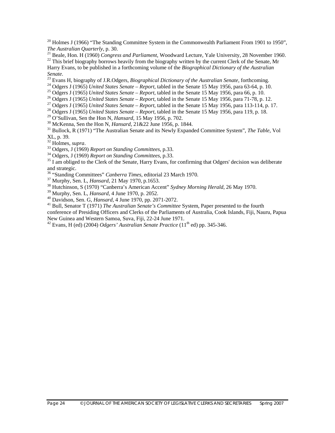<sup>20</sup> Holmes J (1966) "The Standing Committee System in the Commonwealth Parliament From 1901 to 1950". *The Australian Quarterly*, p. 30.<br><sup>21</sup> Beale, Hon. H (1960) *Congress and Parliament*, Woodward Lecture, Yale University, 28 November 1960.<br><sup>22</sup> This brief biography borrows heavily from the biography written by the curr

Harry Evans, to be published in a forthcoming volume of the *Biographical Dictionary of the Australian* 

Senate.<br>
<sup>23</sup> Evans H, biography of J.R.Odgers, *Biographical Dictionary of the Australian Senate*, forthcoming.<br>
<sup>24</sup> Odgers J (1965) *United States Senate – Report*, tabled in the Senate 15 May 1956, para 63-64, p. 10.<br>

<sup>30</sup> McKenna, Sen the Hon N, *Hansard*,  $21\&22$  June 1956, p. 1844.<br><sup>31</sup> Bullock, R (1971) "The Australian Senate and its Newly Expanded Committee System", *The Table*, Vol XL, p. 39.<br><sup>32</sup> Holmes, *supra*.

<sup>33</sup> Odgers, J (1969) *Report on Standing Committees*, p.33.<br><sup>34</sup> Odgers, J (1969) *Report on Standing Committees*, p.33.<br><sup>35</sup> I am obliged to the Clerk of the Senate, Harry Evans, for confirming that Odgers' decision was and strategic.<br><sup>36</sup> "Standing Committees" *Canberra Times*, editorial 23 March 1970.

<sup>37</sup> Murphy, Sen. L, *Hansard*, 21 May 1970, p.1653.<br><sup>38</sup> Hutchinson, S (1970) "Canberra's American Accent" *Sydney Morning Herald*, 26 May 1970.<br><sup>39</sup> Murphy, Sen. L, *Hansard*, 4 June 1970, p. 2052.

<sup>40</sup> Davidson, Sen. G, *Hansard*, 4 June 1970, pp. 2071-2072.<br><sup>41</sup> Bull, Senator T (1971) *The Australian Senate's Committee System*, Paper presented to the fourth

conference of Presiding Officers and Clerks of the Parliaments of Australia, Cook Islands, Fiji, Nauru, Papua New Guinea and Western Samoa, Suva, Fiji, 22-24 June 1971.

<sup>42</sup> Evans, H (ed) (2004) *Odgers' Australian Senate Practice* (11<sup>th</sup> ed) pp. 345-346.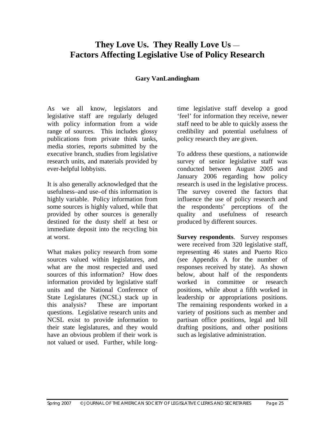# **They Love Us. They Really Love Us** — **Factors Affecting Legislative Use of Policy Research**

#### **Gary VanLandingham**

As we all know, legislators and legislative staff are regularly deluged with policy information from a wide range of sources. This includes glossy publications from private think tanks, media stories, reports submitted by the executive branch, studies from legislative research units, and materials provided by ever-helpful lobbyists.

It is also generally acknowledged that the usefulness–and use–of this information is highly variable. Policy information from some sources is highly valued, while that provided by other sources is generally destined for the dusty shelf at best or immediate deposit into the recycling bin at worst.

What makes policy research from some sources valued within legislatures, and what are the most respected and used sources of this information? How does information provided by legislative staff units and the National Conference of State Legislatures (NCSL) stack up in this analysis? These are important questions. Legislative research units and NCSL exist to provide information to their state legislatures, and they would have an obvious problem if their work is not valued or used. Further, while longtime legislative staff develop a good 'feel' for information they receive, newer staff need to be able to quickly assess the credibility and potential usefulness of policy research they are given.

To address these questions, a nationwide survey of senior legislative staff was conducted between August 2005 and January 2006 regarding how policy research is used in the legislative process. The survey covered the factors that influence the use of policy research and the respondents' perceptions of the quality and usefulness of research produced by different sources.

**Survey respondents**. Survey responses were received from 320 legislative staff, representing 46 states and Puerto Rico (see Appendix A for the number of responses received by state). As shown below, about half of the respondents worked in committee or research positions, while about a fifth worked in leadership or appropriations positions. The remaining respondents worked in a variety of positions such as member and partisan office positions, legal and bill drafting positions, and other positions such as legislative administration.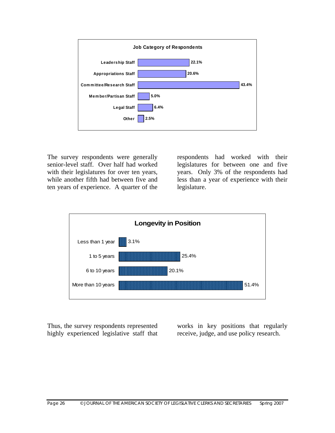

The survey respondents were generally senior-level staff. Over half had worked with their legislatures for over ten years, while another fifth had between five and ten years of experience. A quarter of the

respondents had worked with their legislatures for between one and five years. Only 3% of the respondents had less than a year of experience with their legislature.



Thus, the survey respondents represented highly experienced legislative staff that

works in key positions that regularly receive, judge, and use policy research.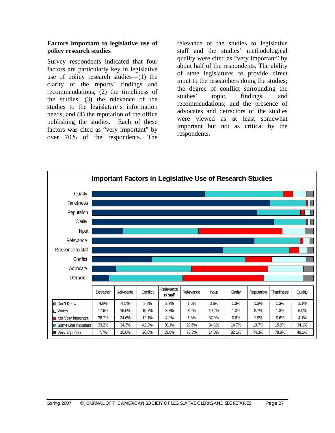#### **Factors important to legislative use of policy research studies**

Survey respondents indicated that four factors are particularly key in legislative use of policy research studies—(1) the clarity of the reports' findings and recommendations; (2) the timeliness of the studies; (3) the relevance of the studies to the legislature's information needs; and (4) the reputation of the office publishing the studies. Each of these factors was cited as "very important" by over 70% of the respondents. The

relevance of the studies to legislative staff and the studies' methodological quality were cited as "very important" by about half of the respondents. The ability of state legislatures to provide direct input to the researchers doing the studies; the degree of conflict surrounding the studies' topic, findings, and recommendations; and the presence of advocates and detractors of the studies were viewed as at least somewhat important but not as critical by the respondents.

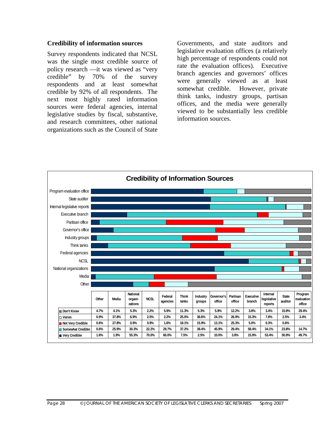#### **Credibility of information sources**

Survey respondents indicated that NCSL was the single most credible source of policy research —it was viewed as "very credible" by 70% of the survey respondents and at least somewhat credible by 92% of all respondents. The next most highly rated information sources were federal agencies, internal legislative studies by fiscal, substantive, and research committees, other national organizations such as the Council of State

Governments, and state auditors and legislative evaluation offices (a relatively high percentage of respondents could not rate the evaluation offices). Executive branch agencies and governors' offices were generally viewed as at least somewhat credible. However, private think tanks, industry groups, partisan offices, and the media were generally viewed to be substantially less credible information sources.

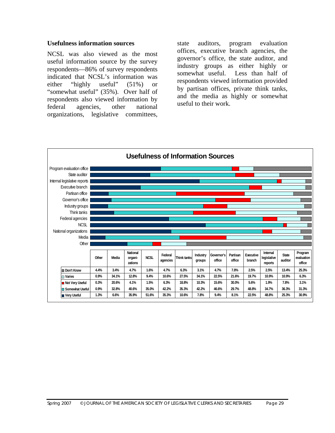#### **Usefulness information sources**

NCSL was also viewed as the most useful information source by the survey respondents—86% of survey respondents indicated that NCSL's information was either "highly useful" (51%) or "somewhat useful" (35%). Over half of respondents also viewed information by federal agencies, other national organizations, legislative committees,

state auditors, program evaluation offices, executive branch agencies, the governor's office, the state auditor, and industry groups as either highly or somewhat useful. Less than half of respondents viewed information provided by partisan offices, private think tanks, and the media as highly or somewhat useful to their work.

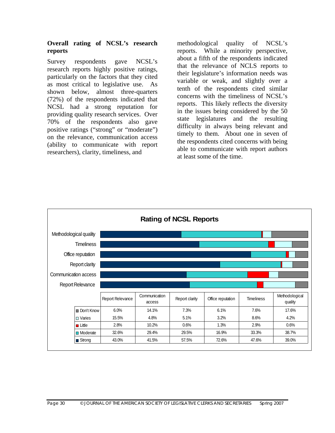#### **Overall rating of NCSL's research reports**

Survey respondents gave NCSL's research reports highly positive ratings, particularly on the factors that they cited as most critical to legislative use. As shown below, almost three-quarters (72%) of the respondents indicated that NCSL had a strong reputation for providing quality research services. Over 70% of the respondents also gave positive ratings ("strong" or "moderate") on the relevance, communication access (ability to communicate with report researchers), clarity, timeliness, and

methodological quality of NCSL's reports. While a minority perspective, about a fifth of the respondents indicated that the relevance of NCLS reports to their legislature's information needs was variable or weak, and slightly over a tenth of the respondents cited similar concerns with the timeliness of NCSL's reports. This likely reflects the diversity in the issues being considered by the 50 state legislatures and the resulting difficulty in always being relevant and timely to them. About one in seven of the respondents cited concerns with being able to communicate with report authors at least some of the time.

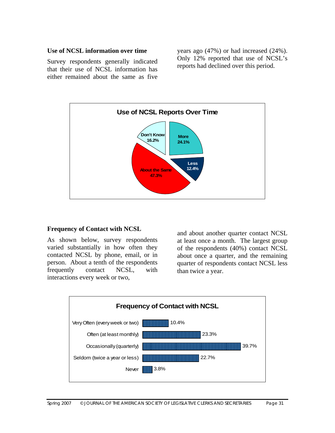#### **Use of NCSL information over time**

Survey respondents generally indicated that their use of NCSL information has either remained about the same as five

years ago (47%) or had increased (24%). Only 12% reported that use of NCSL's reports had declined over this period.



#### **Frequency of Contact with NCSL**

As shown below, survey respondents varied substantially in how often they contacted NCSL by phone, email, or in person. About a tenth of the respondents frequently contact NCSL, with interactions every week or two,

and about another quarter contact NCSL at least once a month. The largest group of the respondents (40%) contact NCSL about once a quarter, and the remaining quarter of respondents contact NCSL less than twice a year.

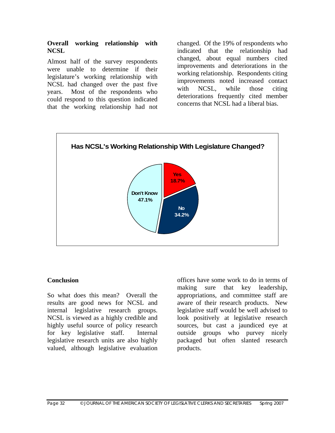#### **Overall working relationship with NCSL**

Almost half of the survey respondents were unable to determine if their legislature's working relationship with NCSL had changed over the past five years. Most of the respondents who could respond to this question indicated that the working relationship had not

changed. Of the 19% of respondents who indicated that the relationship had changed, about equal numbers cited improvements and deteriorations in the working relationship. Respondents citing improvements noted increased contact with NCSL, while those citing deteriorations frequently cited member concerns that NCSL had a liberal bias.



#### **Conclusion**

So what does this mean? Overall the results are good news for NCSL and internal legislative research groups. NCSL is viewed as a highly credible and highly useful source of policy research for key legislative staff. Internal legislative research units are also highly valued, although legislative evaluation

offices have some work to do in terms of making sure that key leadership, appropriations, and committee staff are aware of their research products. New legislative staff would be well advised to look positively at legislative research sources, but cast a jaundiced eye at outside groups who purvey nicely packaged but often slanted research products.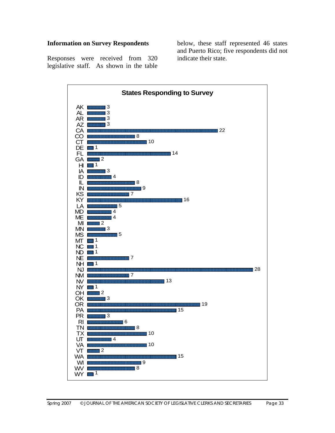#### **Information on Survey Respondents**

below, these staff represented 46 states and Puerto Rico; five respondents did not indicate their state.

Responses were received from 320 legislative staff. As shown in the table

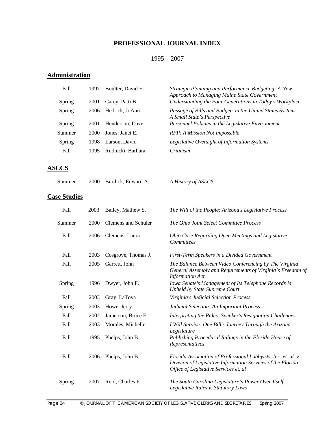# **PROFESSIONAL JOURNAL INDEX**

### 1995 – 2007

## **Administration**

| Fall                | 1997 | Boulter, David E.          | Strategic Planning and Performance Budgeting: A New<br>Approach to Managing Maine State Government                                                                     |
|---------------------|------|----------------------------|------------------------------------------------------------------------------------------------------------------------------------------------------------------------|
| Spring              | 2001 | Carey, Patti B.            | Understanding the Four Generations in Today's Workplace                                                                                                                |
| Spring              | 2006 | Hedrick, JoAnn             | Passage of Bills and Budgets in the United States System -<br>A Small State's Perspective                                                                              |
| Spring              | 2001 | Henderson, Dave            | Personnel Policies in the Legislative Environment                                                                                                                      |
| Summer              | 2000 | Jones, Janet E.            | RFP: A Mission Not Impossible                                                                                                                                          |
| Spring              | 1998 | Larson, David              | Legislative Oversight of Information Systems                                                                                                                           |
| Fall                | 1995 | Rudnicki, Barbara          | Criticism                                                                                                                                                              |
| <b>ASLCS</b>        |      |                            |                                                                                                                                                                        |
| Summer              | 2000 | Burdick, Edward A.         | A History of ASLCS                                                                                                                                                     |
| <b>Case Studies</b> |      |                            |                                                                                                                                                                        |
| Fall                | 2003 | Bailey, Mathew S.          | The Will of the People: Arizona's Legislative Process                                                                                                                  |
| Summer              | 2000 | <b>Clemens</b> and Schuler | The Ohio Joint Select Committee Process                                                                                                                                |
| Fall                | 2006 | Clemens, Laura             | Ohio Case Regarding Open Meetings and Legislative<br>Committees                                                                                                        |
| Fall                | 2003 | Cosgrove, Thomas J.        | First-Term Speakers in a Divided Government                                                                                                                            |
| Fall                | 2005 | Garrett, John              | The Balance Between Video Conferencing by The Virginia<br>General Assembly and Requirements of Virginia's Freedom of<br><b>Information Act</b>                         |
| Spring              | 1996 | Dwyer, John F.             | Iowa Senate's Management of Its Telephone Records Is<br><b>Upheld by State Supreme Court</b>                                                                           |
| Fall                | 2003 | Gray, LaToya               | Virginia's Judicial Selection Process                                                                                                                                  |
| Spring              | 2003 | Howe, Jerry                | Judicial Selection: An Important Process                                                                                                                               |
| Fall                | 2002 | Jamerson, Bruce F.         | Interpreting the Rules: Speaker's Resignation Challenges                                                                                                               |
| Fall                | 2003 | Morales, Michelle          | I Will Survive: One Bill's Journey Through the Arizona<br>Legislature                                                                                                  |
| Fall                | 1995 | Phelps, John B.            | Publishing Procedural Rulings in the Florida House of<br>Representatives                                                                                               |
| Fall                | 2006 | Phelps, John B.            | Florida Association of Professional Lobbyists, Inc. et. al. v.<br>Division of Legislative Information Services of the Florida<br>Office of Legislative Services et. al |
| Spring              | 2007 | Reid, Charles F.           | The South Carolina Legislature's Power Over Itself -<br>Legislative Rules v. Statutory Laws                                                                            |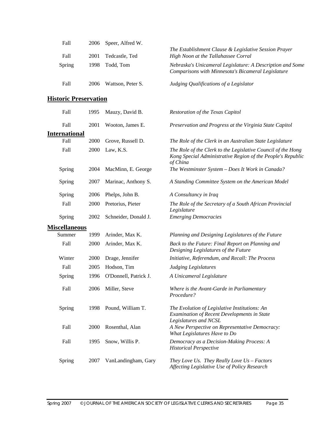| Fall   | 2006 | Speer, Alfred W.  |                                                                                                                 |
|--------|------|-------------------|-----------------------------------------------------------------------------------------------------------------|
|        |      |                   | The Establishment Clause & Legislative Session Prayer                                                           |
| Fall   | 2001 | Tedcastle, Ted    | High Noon at the Tallahassee Corral                                                                             |
| Spring | 1998 | Todd. Tom         | Nebraska's Unicameral Legislature: A Description and Some<br>Comparisons with Minnesota's Bicameral Legislature |
| Fall   | 2006 | Wattson, Peter S. | Judging Qualifications of a Legislator                                                                          |

### **Historic Preservation**

| Fall                 | 1995 | Mauzy, David B.       | Restoration of the Texas Capitol                                                                                                        |
|----------------------|------|-----------------------|-----------------------------------------------------------------------------------------------------------------------------------------|
| Fall                 | 2001 | Wooton, James E.      | Preservation and Progress at the Virginia State Capitol                                                                                 |
| <b>International</b> |      |                       |                                                                                                                                         |
| Fall                 | 2000 | Grove, Russell D.     | The Role of the Clerk in an Australian State Legislature                                                                                |
| Fall                 | 2000 | Law, K.S.             | The Role of the Clerk to the Legislative Council of the Hong<br>Kong Special Administrative Region of the People's Republic<br>of China |
| Spring               | 2004 | MacMinn, E. George    | The Westminster System - Does It Work in Canada?                                                                                        |
| Spring               | 2007 | Marinac, Anthony S.   | A Standing Committee System on the American Model                                                                                       |
| Spring               | 2006 | Phelps, John B.       | A Consultancy in Iraq                                                                                                                   |
| Fall                 | 2000 | Pretorius, Pieter     | The Role of the Secretary of a South African Provincial<br>Legislature                                                                  |
| Spring               | 2002 | Schneider, Donald J.  | <b>Emerging Democracies</b>                                                                                                             |
| <b>Miscellaneous</b> |      |                       |                                                                                                                                         |
| Summer               | 1999 | Arinder, Max K.       | Planning and Designing Legislatures of the Future                                                                                       |
| Fall                 | 2000 | Arinder, Max K.       | Back to the Future: Final Report on Planning and<br>Designing Legislatures of the Future                                                |
| Winter               | 2000 | Drage, Jennifer       | Initiative, Referendum, and Recall: The Process                                                                                         |
| Fall                 | 2005 | Hodson, Tim           | <b>Judging Legislatures</b>                                                                                                             |
| Spring               | 1996 | O'Donnell, Patrick J. | A Unicameral Legislature                                                                                                                |
| Fall                 | 2006 | Miller, Steve         | Where is the Avant-Garde in Parliamentary<br>Procedure?                                                                                 |
| Spring               | 1998 | Pound, William T.     | The Evolution of Legislative Institutions: An<br>Examination of Recent Developments in State<br>Legislatures and NCSL                   |
| Fall                 | 2000 | Rosenthal, Alan       | A New Perspective on Representative Democracy:<br>What Legislatures Have to Do                                                          |
| Fall                 | 1995 | Snow, Willis P.       | Democracy as a Decision-Making Process: A<br><b>Historical Perspective</b>                                                              |
| Spring               | 2007 | VanLandingham, Gary   | They Love Us. They Really Love Us - Factors<br>Affecting Legislative Use of Policy Research                                             |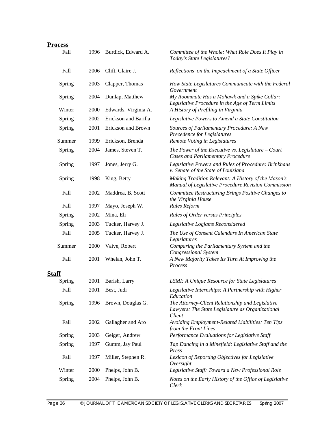| <b>Process</b> |      |                      |                                                                                                                |
|----------------|------|----------------------|----------------------------------------------------------------------------------------------------------------|
| Fall           | 1996 | Burdick, Edward A.   | Committee of the Whole: What Role Does It Play in<br>Today's State Legislatures?                               |
| Fall           | 2006 | Clift, Claire J.     | Reflections on the Impeachment of a State Officer                                                              |
| Spring         | 2003 | Clapper, Thomas      | How State Legislatures Communicate with the Federal<br>Government                                              |
| Spring         | 2004 | Dunlap, Matthew      | My Roommate Has a Mohawk and a Spike Collar:<br>Legislative Procedure in the Age of Term Limits                |
| Winter         | 2000 | Edwards, Virginia A. | A History of Prefiling in Virginia                                                                             |
| Spring         | 2002 | Erickson and Barilla | Legislative Powers to Amend a State Constitution                                                               |
| Spring         | 2001 | Erickson and Brown   | Sources of Parliamentary Procedure: A New<br>Precedence for Legislatures                                       |
| Summer         | 1999 | Erickson, Brenda     | Remote Voting in Legislatures                                                                                  |
| Spring         | 2004 | James, Steven T.     | The Power of the Executive vs. Legislature $-$ Court<br><b>Cases and Parliamentary Procedure</b>               |
| Spring         | 1997 | Jones, Jerry G.      | Legislative Powers and Rules of Procedure: Brinkhaus<br>v. Senate of the State of Louisiana                    |
| Spring         | 1998 | King, Betty          | Making Tradition Relevant: A History of the Mason's<br>Manual of Legislative Procedure Revision Commission     |
| Fall           | 2002 | Maddrea, B. Scott    | Committee Restructuring Brings Positive Changes to<br>the Virginia House                                       |
| Fall           | 1997 | Mayo, Joseph W.      | <b>Rules Reform</b>                                                                                            |
| Spring         | 2002 | Mina, Eli            | <b>Rules of Order versus Principles</b>                                                                        |
| Spring         | 2003 | Tucker, Harvey J.    | Legislative Logjams Reconsidered                                                                               |
| Fall           | 2005 | Tucker, Harvey J.    | The Use of Consent Calendars In American State<br>Legislatures                                                 |
| Summer         | 2000 | Vaive, Robert        | Comparing the Parliamentary System and the<br><b>Congressional System</b>                                      |
| Fall           | 2001 | Whelan, John T.      | A New Majority Takes Its Turn At Improving the<br>Process                                                      |
| Staff          |      |                      |                                                                                                                |
| Spring         | 2001 | Barish, Larry        | LSMI: A Unique Resource for State Legislatures                                                                 |
| Fall           | 2001 | Best, Judi           | Legislative Internships: A Partnership with Higher<br>Education                                                |
| Spring         | 1996 | Brown, Douglas G.    | The Attorney-Client Relationship and Legislative<br>Lawyers: The State Legislature as Organizational<br>Client |
| Fall           | 2002 | Gallagher and Aro    | Avoiding Employment-Related Liabilities: Ten Tips<br>from the Front Lines                                      |
| Spring         | 2003 | Geiger, Andrew       | Performance Evaluations for Legislative Staff                                                                  |
| Spring         | 1997 | Gumm, Jay Paul       | Tap Dancing in a Minefield: Legislative Staff and the<br>Press                                                 |
| Fall           | 1997 | Miller, Stephen R.   | Lexicon of Reporting Objectives for Legislative<br>Oversight                                                   |
| Winter         | 2000 | Phelps, John B.      | Legislative Staff: Toward a New Professional Role                                                              |
| Spring         | 2004 | Phelps, John B.      | Notes on the Early History of the Office of Legislative<br>Clerk                                               |